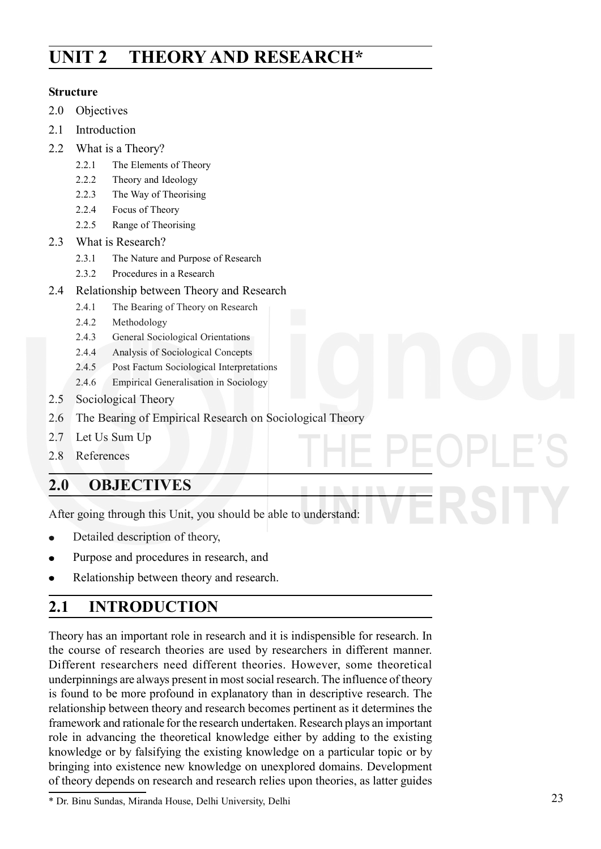# **UNIT 2 THEORY AND RESEARCH\***

#### **Structure**

- 2.0 Objectives
- 2.1 Introduction
- 2.2 What is a Theory?
	- 2.2.1 The Elements of Theory
	- 2.2.2 Theory and Ideology
	- 2.2.3 The Way of Theorising
	- 2.2.4 Focus of Theory
	- 2.2.5 Range of Theorising
- 2.3 What is Research?
	- 2.3.1 The Nature and Purpose of Research
	- 2.3.2 Procedures in a Research
- 2.4 Relationship between Theory and Research
	- 2.4.1 The Bearing of Theory on Research
	- 2.4.2 Methodology
	- 2.4.3 General Sociological Orientations
	- 2.4.4 Analysis of Sociological Concepts
	- 2.4.5 Post Factum Sociological Interpretations
	- 2.4.6 Empirical Generalisation in Sociology
- 2.5 Sociological Theory
- 2.6 The Bearing of Empirical Research on Sociological Theory
- 2.7 Let Us Sum Up
- 2.8 References

## **2.0 OBJECTIVES**

After going through this Unit, you should be able to understand:

- Detailed description of theory,
- Purpose and procedures in research, and
- Relationship between theory and research.

# **2.1 INTRODUCTION**

Theory has an important role in research and it is indispensible for research. In the course of research theories are used by researchers in different manner. Different researchers need different theories. However, some theoretical underpinnings are always present in most social research. The influence of theory is found to be more profound in explanatory than in descriptive research. The relationship between theory and research becomes pertinent as it determines the framework and rationale for the research undertaken. Research plays an important role in advancing the theoretical knowledge either by adding to the existing knowledge or by falsifying the existing knowledge on a particular topic or by bringing into existence new knowledge on unexplored domains. Development of theory depends on research and research relies upon theories, as latter guides

<sup>\*</sup> Dr. Binu Sundas, Miranda House, Delhi University, Delhi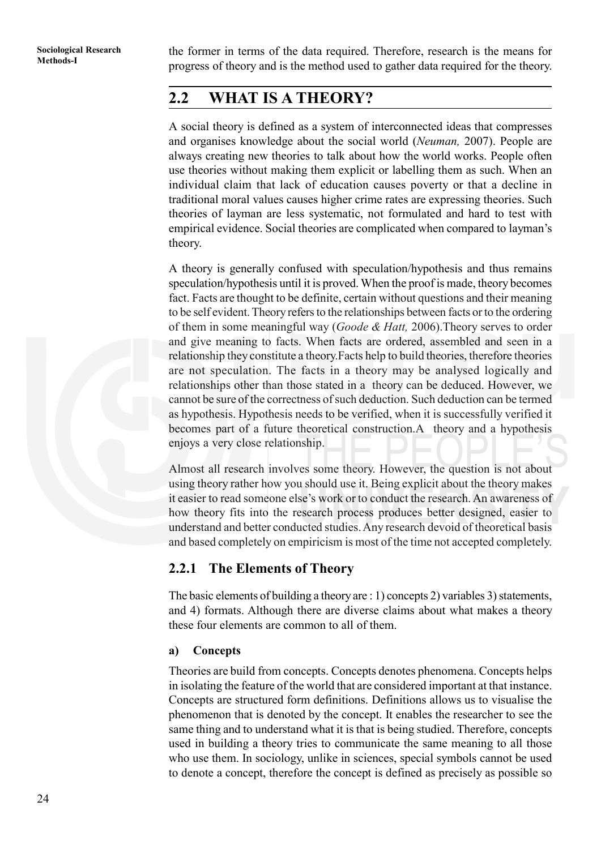**Methods-I** the former in terms of the data required. Therefore, research is the means for Methods-I progress of theory and is the method used to gather data required for the theory.

## **2.2 WHAT IS A THEORY?**

A social theory is defined as a system of interconnected ideas that compresses and organises knowledge about the social world (*Neuman,* 2007). People are always creating new theories to talk about how the world works. People often use theories without making them explicit or labelling them as such. When an individual claim that lack of education causes poverty or that a decline in traditional moral values causes higher crime rates are expressing theories. Such theories of layman are less systematic, not formulated and hard to test with empirical evidence. Social theories are complicated when compared to layman's theory.

A theory is generally confused with speculation/hypothesis and thus remains speculation/hypothesis until it is proved. When the proof is made, theory becomes fact. Facts are thought to be definite, certain without questions and their meaning to be self evident. Theory refers to the relationships between facts or to the ordering of them in some meaningful way (*Goode & Hatt,* 2006).Theory serves to order and give meaning to facts. When facts are ordered, assembled and seen in a relationship they constitute a theory.Facts help to build theories, therefore theories are not speculation. The facts in a theory may be analysed logically and relationships other than those stated in a theory can be deduced. However, we cannot be sure of the correctness of such deduction. Such deduction can be termed as hypothesis. Hypothesis needs to be verified, when it is successfully verified it becomes part of a future theoretical construction.A theory and a hypothesis enjoys a very close relationship.

Almost all research involves some theory. However, the question is not about using theory rather how you should use it. Being explicit about the theory makes it easier to read someone else's work or to conduct the research. An awareness of how theory fits into the research process produces better designed, easier to understand and better conducted studies. Any research devoid of theoretical basis and based completely on empiricism is most of the time not accepted completely.

#### **2.2.1 The Elements of Theory**

The basic elements of building a theory are : 1) concepts 2) variables 3) statements, and 4) formats. Although there are diverse claims about what makes a theory these four elements are common to all of them.

#### **a) Concepts**

Theories are build from concepts. Concepts denotes phenomena. Concepts helps in isolating the feature of the world that are considered important at that instance. Concepts are structured form definitions. Definitions allows us to visualise the phenomenon that is denoted by the concept. It enables the researcher to see the same thing and to understand what it is that is being studied. Therefore, concepts used in building a theory tries to communicate the same meaning to all those who use them. In sociology, unlike in sciences, special symbols cannot be used to denote a concept, therefore the concept is defined as precisely as possible so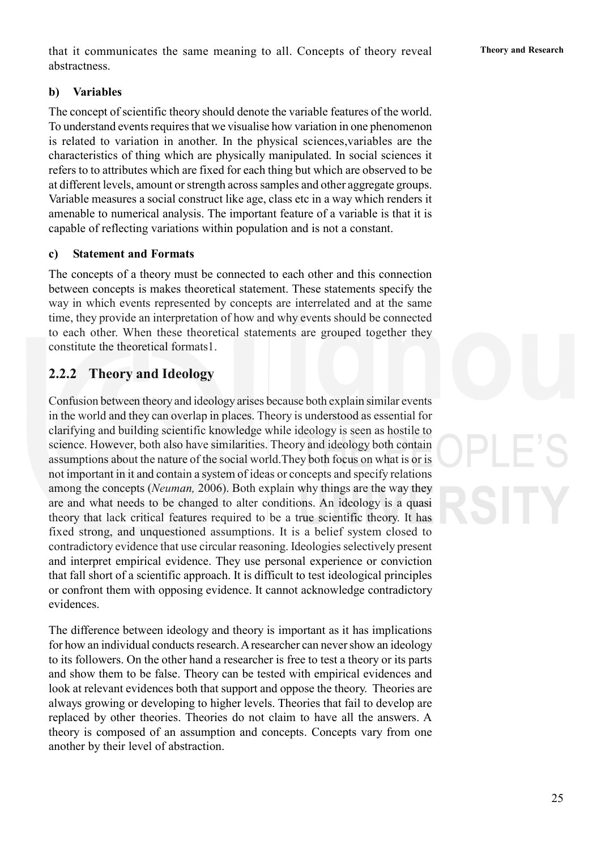#### **b) Variables**

The concept of scientific theory should denote the variable features of the world. To understand events requires that we visualise how variation in one phenomenon is related to variation in another. In the physical sciences,variables are the characteristics of thing which are physically manipulated. In social sciences it refers to to attributes which are fixed for each thing but which are observed to be at different levels, amount or strength across samples and other aggregate groups. Variable measures a social construct like age, class etc in a way which renders it amenable to numerical analysis. The important feature of a variable is that it is capable of reflecting variations within population and is not a constant.

#### **c) Statement and Formats**

The concepts of a theory must be connected to each other and this connection between concepts is makes theoretical statement. These statements specify the way in which events represented by concepts are interrelated and at the same time, they provide an interpretation of how and why events should be connected to each other. When these theoretical statements are grouped together they constitute the theoretical formats1.

### **2.2.2 Theory and Ideology**

Confusion between theory and ideology arises because both explain similar events in the world and they can overlap in places. Theory is understood as essential for clarifying and building scientific knowledge while ideology is seen as hostile to science. However, both also have similarities. Theory and ideology both contain assumptions about the nature of the social world.They both focus on what is or is not important in it and contain a system of ideas or concepts and specify relations among the concepts (*Neuman,* 2006). Both explain why things are the way they are and what needs to be changed to alter conditions. An ideology is a quasi theory that lack critical features required to be a true scientific theory. It has fixed strong, and unquestioned assumptions. It is a belief system closed to contradictory evidence that use circular reasoning. Ideologies selectively present and interpret empirical evidence. They use personal experience or conviction that fall short of a scientific approach. It is difficult to test ideological principles or confront them with opposing evidence. It cannot acknowledge contradictory evidences.

The difference between ideology and theory is important as it has implications for how an individual conducts research. A researcher can never show an ideology to its followers. On the other hand a researcher is free to test a theory or its parts and show them to be false. Theory can be tested with empirical evidences and look at relevant evidences both that support and oppose the theory. Theories are always growing or developing to higher levels. Theories that fail to develop are replaced by other theories. Theories do not claim to have all the answers. A theory is composed of an assumption and concepts. Concepts vary from one another by their level of abstraction.

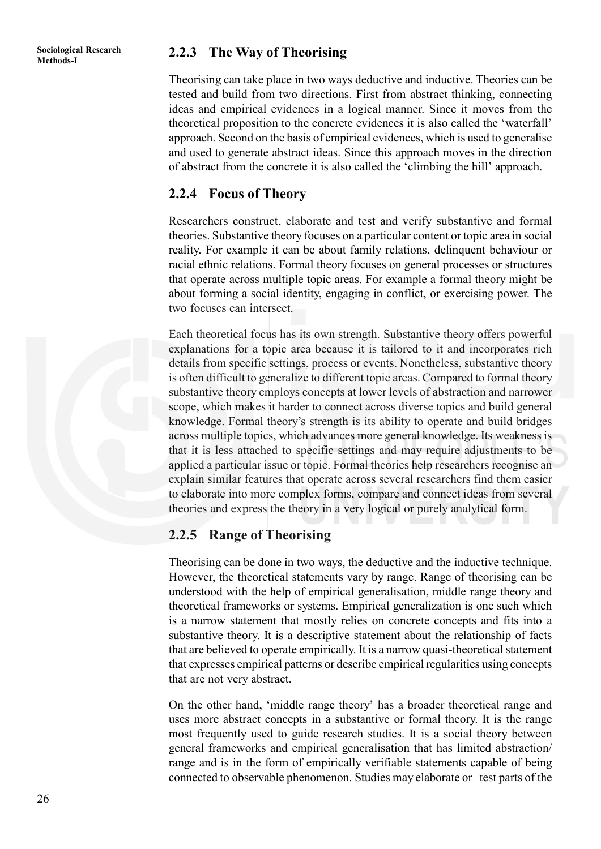## **Methods-I 2.2.3 The Way of Theorising**

Theorising can take place in two ways deductive and inductive. Theories can be tested and build from two directions. First from abstract thinking, connecting ideas and empirical evidences in a logical manner. Since it moves from the theoretical proposition to the concrete evidences it is also called the 'waterfall' approach. Second on the basis of empirical evidences, which is used to generalise and used to generate abstract ideas. Since this approach moves in the direction of abstract from the concrete it is also called the 'climbing the hill' approach.

#### **2.2.4 Focus of Theory**

Researchers construct, elaborate and test and verify substantive and formal theories. Substantive theory focuses on a particular content or topic area in social reality. For example it can be about family relations, delinquent behaviour or racial ethnic relations. Formal theory focuses on general processes or structures that operate across multiple topic areas. For example a formal theory might be about forming a social identity, engaging in conflict, or exercising power. The two focuses can intersect.

Each theoretical focus has its own strength. Substantive theory offers powerful explanations for a topic area because it is tailored to it and incorporates rich details from specific settings, process or events. Nonetheless, substantive theory is often difficult to generalize to different topic areas. Compared to formal theory substantive theory employs concepts at lower levels of abstraction and narrower scope, which makes it harder to connect across diverse topics and build general knowledge. Formal theory's strength is its ability to operate and build bridges across multiple topics, which advances more general knowledge. Its weakness is that it is less attached to specific settings and may require adjustments to be applied a particular issue or topic. Formal theories help researchers recognise an explain similar features that operate across several researchers find them easier to elaborate into more complex forms, compare and connect ideas from several theories and express the theory in a very logical or purely analytical form.

### **2.2.5 Range of Theorising**

Theorising can be done in two ways, the deductive and the inductive technique. However, the theoretical statements vary by range. Range of theorising can be understood with the help of empirical generalisation, middle range theory and theoretical frameworks or systems. Empirical generalization is one such which is a narrow statement that mostly relies on concrete concepts and fits into a substantive theory. It is a descriptive statement about the relationship of facts that are believed to operate empirically. It is a narrow quasi-theoretical statement that expresses empirical patterns or describe empirical regularities using concepts that are not very abstract.

On the other hand, 'middle range theory' has a broader theoretical range and uses more abstract concepts in a substantive or formal theory. It is the range most frequently used to guide research studies. It is a social theory between general frameworks and empirical generalisation that has limited abstraction/ range and is in the form of empirically verifiable statements capable of being connected to observable phenomenon. Studies may elaborate or test parts of the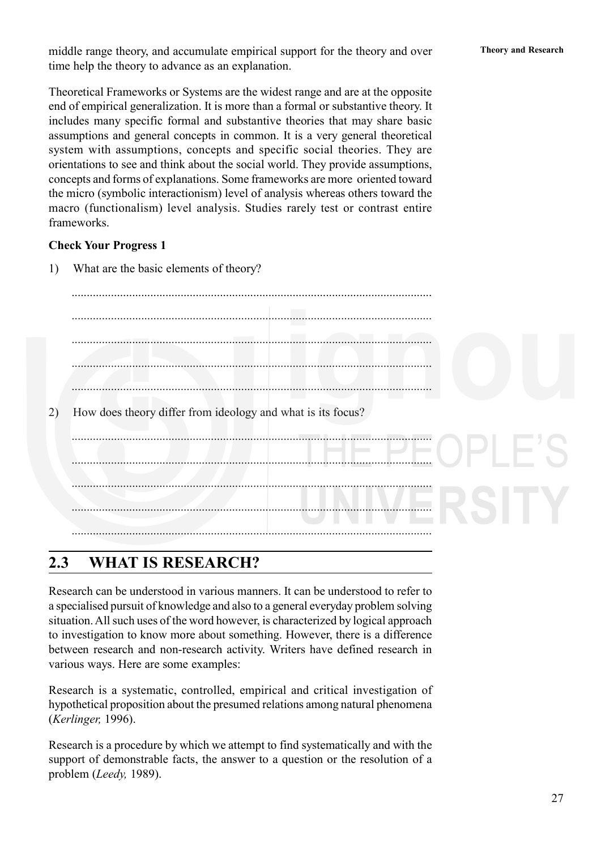middle range theory, and accumulate empirical support for the theory and over **Theory and Research** time help the theory to advance as an explanation.

Theoretical Frameworks or Systems are the widest range and are at the opposite end of empirical generalization. It is more than a formal or substantive theory. It includes many specific formal and substantive theories that may share basic assumptions and general concepts in common. It is a very general theoretical system with assumptions, concepts and specific social theories. They are orientations to see and think about the social world. They provide assumptions, concepts and forms of explanations. Some frameworks are more oriented toward the micro (symbolic interactionism) level of analysis whereas others toward the macro (functionalism) level analysis. Studies rarely test or contrast entire frameworks.

#### **Check Your Progress 1**

1) What are the basic elements of theory?

....................................................................................................................... ....................................................................................................................... ....................................................................................................................... ....................................................................................................................... ....................................................................................................................... 2) How does theory differ from ideology and what is its focus? ....................................................................................................................... ....................................................................................................................... ....................................................................................................................... ....................................................................................................................... .......................................................................................................................

### **2.3 WHAT IS RESEARCH?**

Research can be understood in various manners. It can be understood to refer to a specialised pursuit of knowledge and also to a general everyday problem solving situation. All such uses of the word however, is characterized by logical approach to investigation to know more about something. However, there is a difference between research and non-research activity. Writers have defined research in various ways. Here are some examples:

Research is a systematic, controlled, empirical and critical investigation of hypothetical proposition about the presumed relations among natural phenomena (*Kerlinger,* 1996).

Research is a procedure by which we attempt to find systematically and with the support of demonstrable facts, the answer to a question or the resolution of a problem (*Leedy,* 1989).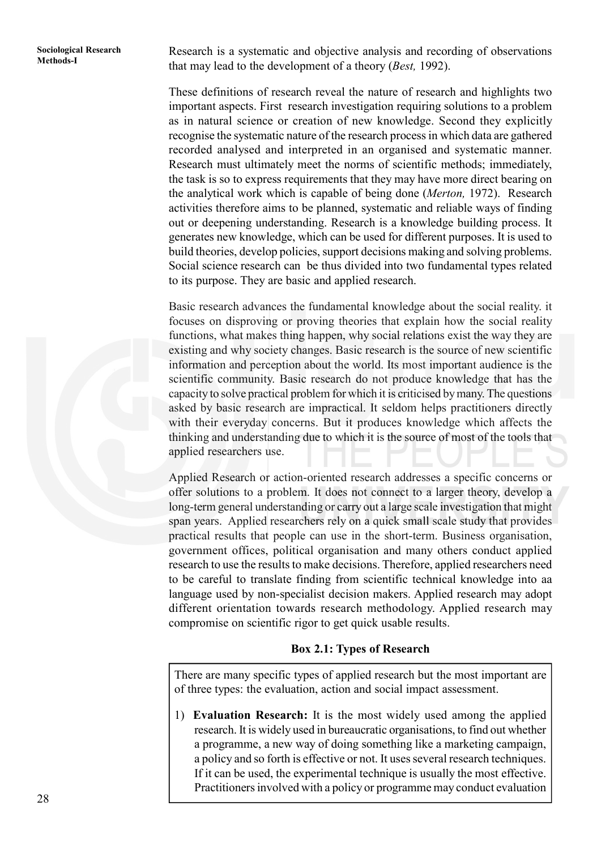Sociological Research **Research** is a systematic and objective analysis and recording of observations Methods-I that may lead to the development of a theory (*Best,* 1992).

> These definitions of research reveal the nature of research and highlights two important aspects. First research investigation requiring solutions to a problem as in natural science or creation of new knowledge. Second they explicitly recognise the systematic nature of the research process in which data are gathered recorded analysed and interpreted in an organised and systematic manner. Research must ultimately meet the norms of scientific methods; immediately, the task is so to express requirements that they may have more direct bearing on the analytical work which is capable of being done (*Merton,* 1972). Research activities therefore aims to be planned, systematic and reliable ways of finding out or deepening understanding. Research is a knowledge building process. It generates new knowledge, which can be used for different purposes. It is used to build theories, develop policies, support decisions making and solving problems. Social science research can be thus divided into two fundamental types related to its purpose. They are basic and applied research.

> Basic research advances the fundamental knowledge about the social reality. it focuses on disproving or proving theories that explain how the social reality functions, what makes thing happen, why social relations exist the way they are existing and why society changes. Basic research is the source of new scientific information and perception about the world. Its most important audience is the scientific community. Basic research do not produce knowledge that has the capacity to solve practical problem for which it is criticised by many. The questions asked by basic research are impractical. It seldom helps practitioners directly with their everyday concerns. But it produces knowledge which affects the thinking and understanding due to which it is the source of most of the tools that applied researchers use.

> Applied Research or action-oriented research addresses a specific concerns or offer solutions to a problem. It does not connect to a larger theory, develop a long-term general understanding or carry out a large scale investigation that might span years. Applied researchers rely on a quick small scale study that provides practical results that people can use in the short-term. Business organisation, government offices, political organisation and many others conduct applied research to use the results to make decisions. Therefore, applied researchers need to be careful to translate finding from scientific technical knowledge into aa language used by non-specialist decision makers. Applied research may adopt different orientation towards research methodology. Applied research may compromise on scientific rigor to get quick usable results.

#### **Box 2.1: Types of Research**

There are many specific types of applied research but the most important are of three types: the evaluation, action and social impact assessment.

1) **Evaluation Research:** It is the most widely used among the applied research. It is widely used in bureaucratic organisations, to find out whether a programme, a new way of doing something like a marketing campaign, a policy and so forth is effective or not. It uses several research techniques. If it can be used, the experimental technique is usually the most effective. Practitioners involved with a policy or programme may conduct evaluation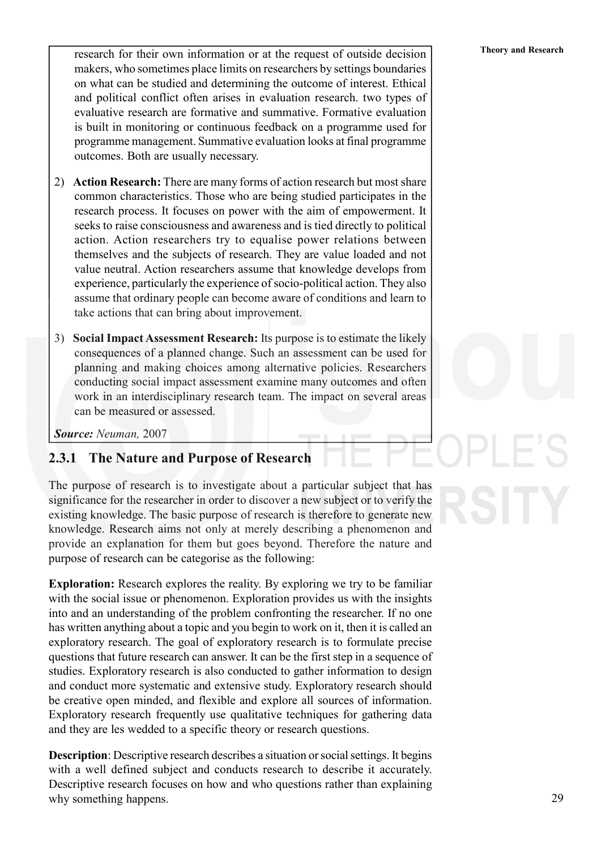**Theory and Research for their own information or at the request of outside decision** Theory and Research makers, who sometimes place limits on researchers by settings boundaries on what can be studied and determining the outcome of interest. Ethical and political conflict often arises in evaluation research. two types of evaluative research are formative and summative. Formative evaluation is built in monitoring or continuous feedback on a programme used for programme management. Summative evaluation looks at final programme outcomes. Both are usually necessary.

- 2) **Action Research:** There are many forms of action research but most share common characteristics. Those who are being studied participates in the research process. It focuses on power with the aim of empowerment. It seeks to raise consciousness and awareness and is tied directly to political action. Action researchers try to equalise power relations between themselves and the subjects of research. They are value loaded and not value neutral. Action researchers assume that knowledge develops from experience, particularly the experience of socio-political action. They also assume that ordinary people can become aware of conditions and learn to take actions that can bring about improvement.
- 3) **Social Impact Assessment Research:** Its purpose is to estimate the likely consequences of a planned change. Such an assessment can be used for planning and making choices among alternative policies. Researchers conducting social impact assessment examine many outcomes and often work in an interdisciplinary research team. The impact on several areas can be measured or assessed.

*Source: Neuman,* 2007

#### **2.3.1 The Nature and Purpose of Research**

The purpose of research is to investigate about a particular subject that has significance for the researcher in order to discover a new subject or to verify the existing knowledge. The basic purpose of research is therefore to generate new knowledge. Research aims not only at merely describing a phenomenon and provide an explanation for them but goes beyond. Therefore the nature and purpose of research can be categorise as the following:

**Exploration:** Research explores the reality. By exploring we try to be familiar with the social issue or phenomenon. Exploration provides us with the insights into and an understanding of the problem confronting the researcher. If no one has written anything about a topic and you begin to work on it, then it is called an exploratory research. The goal of exploratory research is to formulate precise questions that future research can answer. It can be the first step in a sequence of studies. Exploratory research is also conducted to gather information to design and conduct more systematic and extensive study. Exploratory research should be creative open minded, and flexible and explore all sources of information. Exploratory research frequently use qualitative techniques for gathering data and they are les wedded to a specific theory or research questions.

**Description**: Descriptive research describes a situation or social settings. It begins with a well defined subject and conducts research to describe it accurately. Descriptive research focuses on how and who questions rather than explaining why something happens.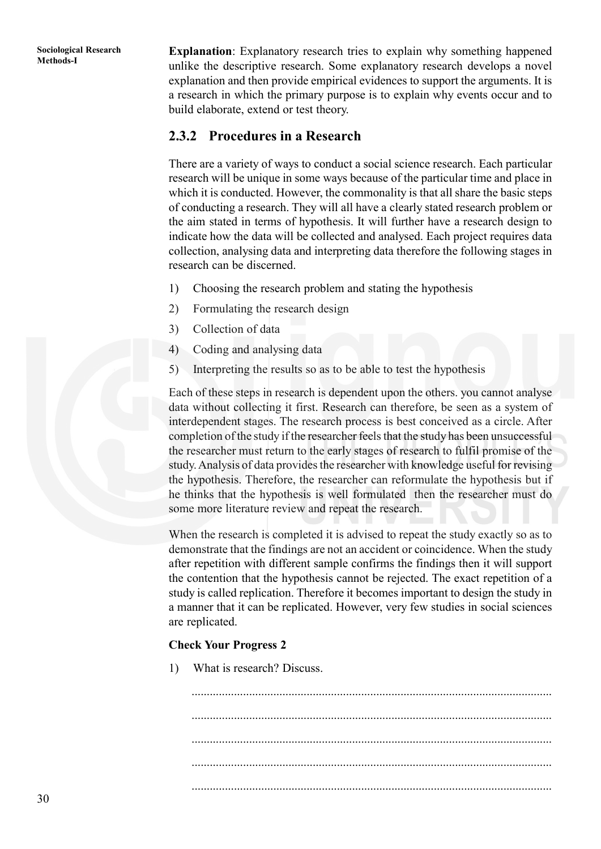**Methods-I Research <b>Explanation**: Explanatory research tries to explain why something happened unlike the descriptive research. Some explanatory research develops a novel explanation and then provide empirical evidences to support the arguments. It is a research in which the primary purpose is to explain why events occur and to build elaborate, extend or test theory.

#### **2.3.2 Procedures in a Research**

There are a variety of ways to conduct a social science research. Each particular research will be unique in some ways because of the particular time and place in which it is conducted. However, the commonality is that all share the basic steps of conducting a research. They will all have a clearly stated research problem or the aim stated in terms of hypothesis. It will further have a research design to indicate how the data will be collected and analysed. Each project requires data collection, analysing data and interpreting data therefore the following stages in research can be discerned.

- 1) Choosing the research problem and stating the hypothesis
- 2) Formulating the research design
- 3) Collection of data
- 4) Coding and analysing data
- 5) Interpreting the results so as to be able to test the hypothesis

Each of these steps in research is dependent upon the others. you cannot analyse data without collecting it first. Research can therefore, be seen as a system of interdependent stages. The research process is best conceived as a circle. After completion of the study if the researcher feels that the study has been unsuccessful the researcher must return to the early stages of research to fulfil promise of the study. Analysis of data provides the researcher with knowledge useful for revising the hypothesis. Therefore, the researcher can reformulate the hypothesis but if he thinks that the hypothesis is well formulated then the researcher must do some more literature review and repeat the research.

When the research is completed it is advised to repeat the study exactly so as to demonstrate that the findings are not an accident or coincidence. When the study after repetition with different sample confirms the findings then it will support the contention that the hypothesis cannot be rejected. The exact repetition of a study is called replication. Therefore it becomes important to design the study in a manner that it can be replicated. However, very few studies in social sciences are replicated.

#### **Check Your Progress 2**

1) What is research? Discuss.

....................................................................................................................... ....................................................................................................................... ....................................................................................................................... ....................................................................................................................... .......................................................................................................................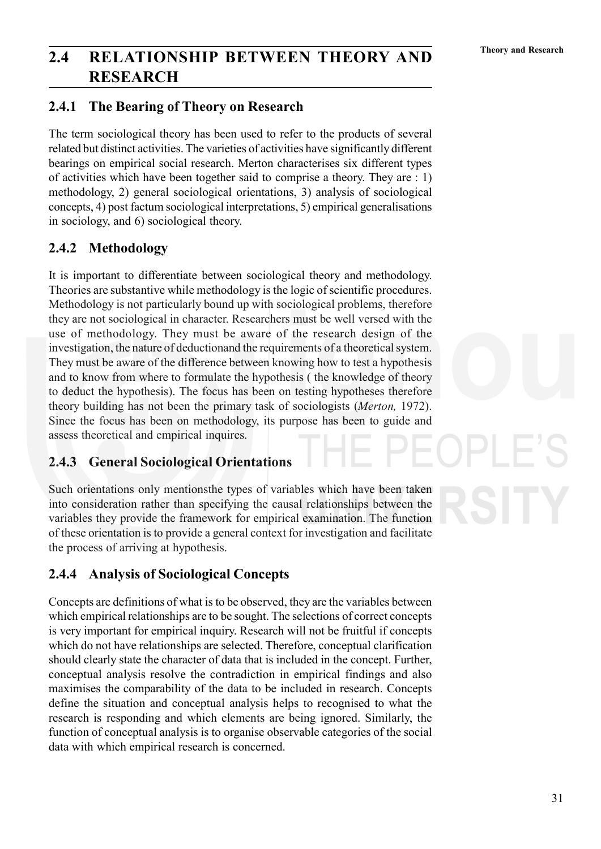# **2.4 RELATIONSHIP BETWEEN THEORY AND** Theory and Research **RESEARCH**

### **2.4.1 The Bearing of Theory on Research**

The term sociological theory has been used to refer to the products of several related but distinct activities. The varieties of activities have significantly different bearings on empirical social research. Merton characterises six different types of activities which have been together said to comprise a theory. They are : 1) methodology, 2) general sociological orientations, 3) analysis of sociological concepts, 4) post factum sociological interpretations, 5) empirical generalisations in sociology, and 6) sociological theory.

### **2.4.2 Methodology**

It is important to differentiate between sociological theory and methodology. Theories are substantive while methodology is the logic of scientific procedures. Methodology is not particularly bound up with sociological problems, therefore they are not sociological in character. Researchers must be well versed with the use of methodology. They must be aware of the research design of the investigation, the nature of deductionand the requirements of a theoretical system. They must be aware of the difference between knowing how to test a hypothesis and to know from where to formulate the hypothesis ( the knowledge of theory to deduct the hypothesis). The focus has been on testing hypotheses therefore theory building has not been the primary task of sociologists (*Merton,* 1972). Since the focus has been on methodology, its purpose has been to guide and assess theoretical and empirical inquires.

### **2.4.3 General Sociological Orientations**

Such orientations only mentionsthe types of variables which have been taken into consideration rather than specifying the causal relationships between the variables they provide the framework for empirical examination. The function of these orientation is to provide a general context for investigation and facilitate the process of arriving at hypothesis.

### **2.4.4 Analysis of Sociological Concepts**

Concepts are definitions of what is to be observed, they are the variables between which empirical relationships are to be sought. The selections of correct concepts is very important for empirical inquiry. Research will not be fruitful if concepts which do not have relationships are selected. Therefore, conceptual clarification should clearly state the character of data that is included in the concept. Further, conceptual analysis resolve the contradiction in empirical findings and also maximises the comparability of the data to be included in research. Concepts define the situation and conceptual analysis helps to recognised to what the research is responding and which elements are being ignored. Similarly, the function of conceptual analysis is to organise observable categories of the social data with which empirical research is concerned.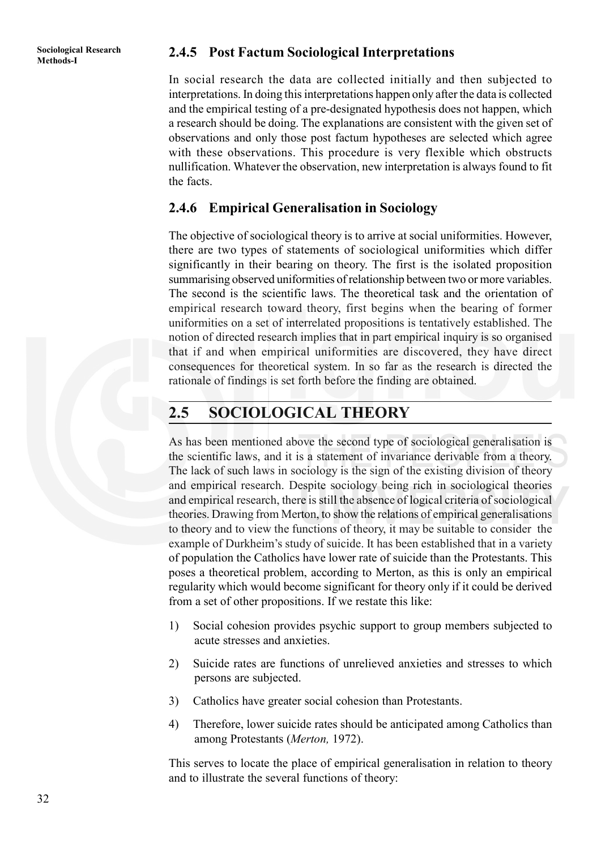## **Methods-I 2.4.5 Post Factum Sociological Interpretations**

In social research the data are collected initially and then subjected to interpretations. In doing this interpretations happen only after the data is collected and the empirical testing of a pre-designated hypothesis does not happen, which a research should be doing. The explanations are consistent with the given set of observations and only those post factum hypotheses are selected which agree with these observations. This procedure is very flexible which obstructs nullification. Whatever the observation, new interpretation is always found to fit the facts.

#### **2.4.6 Empirical Generalisation in Sociology**

The objective of sociological theory is to arrive at social uniformities. However, there are two types of statements of sociological uniformities which differ significantly in their bearing on theory. The first is the isolated proposition summarising observed uniformities of relationship between two or more variables. The second is the scientific laws. The theoretical task and the orientation of empirical research toward theory, first begins when the bearing of former uniformities on a set of interrelated propositions is tentatively established. The notion of directed research implies that in part empirical inquiry is so organised that if and when empirical uniformities are discovered, they have direct consequences for theoretical system. In so far as the research is directed the rationale of findings is set forth before the finding are obtained.

## **2.5 SOCIOLOGICAL THEORY**

As has been mentioned above the second type of sociological generalisation is the scientific laws, and it is a statement of invariance derivable from a theory. The lack of such laws in sociology is the sign of the existing division of theory and empirical research. Despite sociology being rich in sociological theories and empirical research, there is still the absence of logical criteria of sociological theories. Drawing from Merton, to show the relations of empirical generalisations to theory and to view the functions of theory, it may be suitable to consider the example of Durkheim's study of suicide. It has been established that in a variety of population the Catholics have lower rate of suicide than the Protestants. This poses a theoretical problem, according to Merton, as this is only an empirical regularity which would become significant for theory only if it could be derived from a set of other propositions. If we restate this like:

- 1) Social cohesion provides psychic support to group members subjected to acute stresses and anxieties.
- 2) Suicide rates are functions of unrelieved anxieties and stresses to which persons are subjected.
- 3) Catholics have greater social cohesion than Protestants.
- 4) Therefore, lower suicide rates should be anticipated among Catholics than among Protestants (*Merton,* 1972).

This serves to locate the place of empirical generalisation in relation to theory and to illustrate the several functions of theory: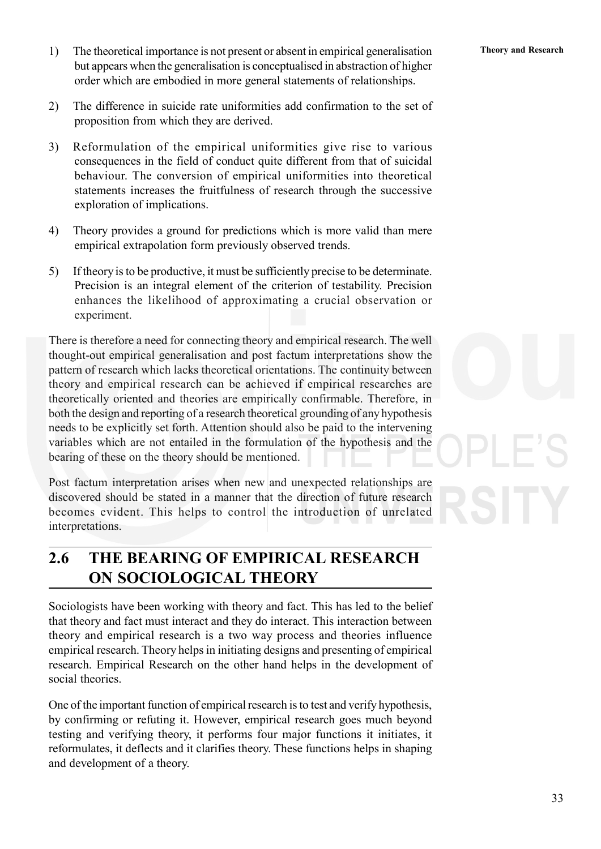- 
- 1) The theoretical importance is not present or absent in empirical generalisation **Theory and Research** but appears when the generalisation is conceptualised in abstraction of higher order which are embodied in more general statements of relationships.
- 2) The difference in suicide rate uniformities add confirmation to the set of proposition from which they are derived.
- 3) Reformulation of the empirical uniformities give rise to various consequences in the field of conduct quite different from that of suicidal behaviour. The conversion of empirical uniformities into theoretical statements increases the fruitfulness of research through the successive exploration of implications.
- 4) Theory provides a ground for predictions which is more valid than mere empirical extrapolation form previously observed trends.
- 5) If theory is to be productive, it must be sufficiently precise to be determinate. Precision is an integral element of the criterion of testability. Precision enhances the likelihood of approximating a crucial observation or experiment.

There is therefore a need for connecting theory and empirical research. The well thought-out empirical generalisation and post factum interpretations show the pattern of research which lacks theoretical orientations. The continuity between theory and empirical research can be achieved if empirical researches are theoretically oriented and theories are empirically confirmable. Therefore, in both the design and reporting of a research theoretical grounding of any hypothesis needs to be explicitly set forth. Attention should also be paid to the intervening variables which are not entailed in the formulation of the hypothesis and the bearing of these on the theory should be mentioned.

Post factum interpretation arises when new and unexpected relationships are discovered should be stated in a manner that the direction of future research becomes evident. This helps to control the introduction of unrelated interpretations.

## **2.6 THE BEARING OF EMPIRICAL RESEARCH ON SOCIOLOGICAL THEORY**

Sociologists have been working with theory and fact. This has led to the belief that theory and fact must interact and they do interact. This interaction between theory and empirical research is a two way process and theories influence empirical research. Theory helps in initiating designs and presenting of empirical research. Empirical Research on the other hand helps in the development of social theories.

One of the important function of empirical research is to test and verify hypothesis, by confirming or refuting it. However, empirical research goes much beyond testing and verifying theory, it performs four major functions it initiates, it reformulates, it deflects and it clarifies theory. These functions helps in shaping and development of a theory.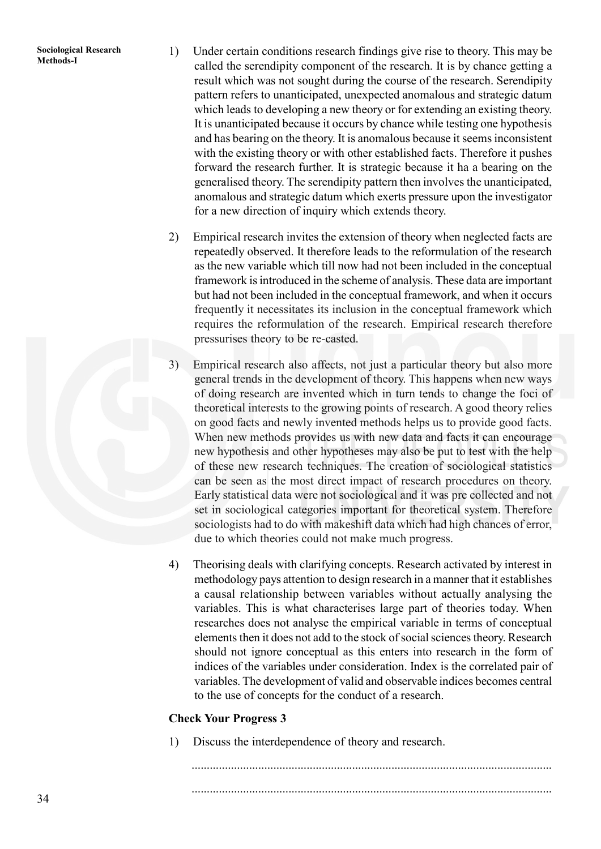- Sociological Research 1) Under certain conditions research findings give rise to theory. This may be Methods-I called the serendipity component of the research. It is by chance getting a result which was not sought during the course of the research. Serendipity pattern refers to unanticipated, unexpected anomalous and strategic datum which leads to developing a new theory or for extending an existing theory. It is unanticipated because it occurs by chance while testing one hypothesis and has bearing on the theory. It is anomalous because it seems inconsistent with the existing theory or with other established facts. Therefore it pushes forward the research further. It is strategic because it ha a bearing on the generalised theory. The serendipity pattern then involves the unanticipated, anomalous and strategic datum which exerts pressure upon the investigator for a new direction of inquiry which extends theory.
	- 2) Empirical research invites the extension of theory when neglected facts are repeatedly observed. It therefore leads to the reformulation of the research as the new variable which till now had not been included in the conceptual framework is introduced in the scheme of analysis. These data are important but had not been included in the conceptual framework, and when it occurs frequently it necessitates its inclusion in the conceptual framework which requires the reformulation of the research. Empirical research therefore pressurises theory to be re-casted.
	- 3) Empirical research also affects, not just a particular theory but also more general trends in the development of theory. This happens when new ways of doing research are invented which in turn tends to change the foci of theoretical interests to the growing points of research. A good theory relies on good facts and newly invented methods helps us to provide good facts. When new methods provides us with new data and facts it can encourage new hypothesis and other hypotheses may also be put to test with the help of these new research techniques. The creation of sociological statistics can be seen as the most direct impact of research procedures on theory. Early statistical data were not sociological and it was pre collected and not set in sociological categories important for theoretical system. Therefore sociologists had to do with makeshift data which had high chances of error, due to which theories could not make much progress.
	- 4) Theorising deals with clarifying concepts. Research activated by interest in methodology pays attention to design research in a manner that it establishes a causal relationship between variables without actually analysing the variables. This is what characterises large part of theories today. When researches does not analyse the empirical variable in terms of conceptual elements then it does not add to the stock of social sciences theory. Research should not ignore conceptual as this enters into research in the form of indices of the variables under consideration. Index is the correlated pair of variables. The development of valid and observable indices becomes central to the use of concepts for the conduct of a research.

#### **Check Your Progress 3**

1) Discuss the interdependence of theory and research.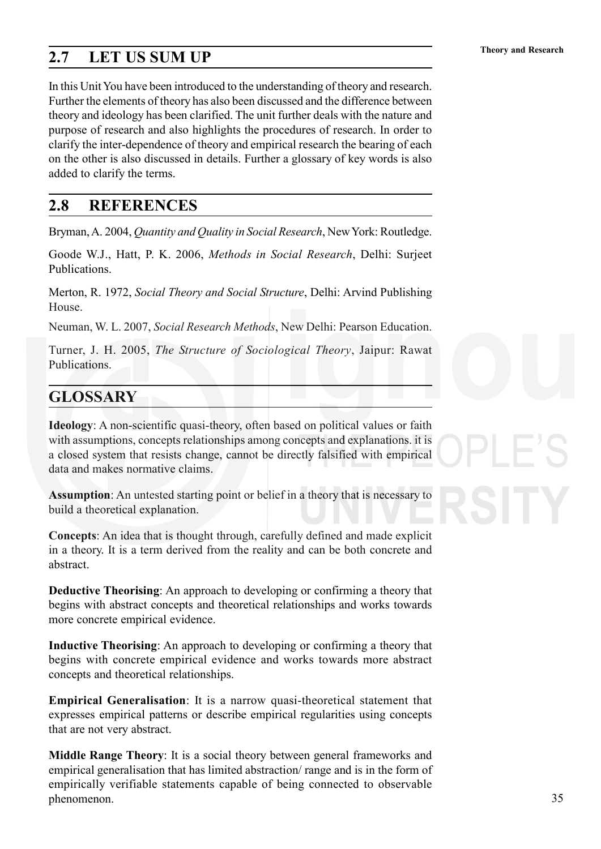# **Theory and Research 2.7 LET US SUM UP**

In this Unit You have been introduced to the understanding of theory and research. Further the elements of theory has also been discussed and the difference between theory and ideology has been clarified. The unit further deals with the nature and purpose of research and also highlights the procedures of research. In order to clarify the inter-dependence of theory and empirical research the bearing of each on the other is also discussed in details. Further a glossary of key words is also added to clarify the terms.

### **2.8 REFERENCES**

Bryman, A. 2004, *Quantity and Quality in Social Research*, New York: Routledge.

Goode W.J., Hatt, P. K. 2006, *Methods in Social Research*, Delhi: Surjeet Publications.

Merton, R. 1972, *Social Theory and Social Structure*, Delhi: Arvind Publishing House.

Neuman, W. L. 2007, *Social Research Methods*, New Delhi: Pearson Education.

Turner, J. H. 2005, *The Structure of Sociological Theory*, Jaipur: Rawat Publications.

# **GLOSSARY**

**Ideology**: A non-scientific quasi-theory, often based on political values or faith with assumptions, concepts relationships among concepts and explanations. it is a closed system that resists change, cannot be directly falsified with empirical data and makes normative claims.

**Assumption**: An untested starting point or belief in a theory that is necessary to build a theoretical explanation.

**Concepts**: An idea that is thought through, carefully defined and made explicit in a theory. It is a term derived from the reality and can be both concrete and abstract.

**Deductive Theorising**: An approach to developing or confirming a theory that begins with abstract concepts and theoretical relationships and works towards more concrete empirical evidence.

**Inductive Theorising**: An approach to developing or confirming a theory that begins with concrete empirical evidence and works towards more abstract concepts and theoretical relationships.

**Empirical Generalisation**: It is a narrow quasi-theoretical statement that expresses empirical patterns or describe empirical regularities using concepts that are not very abstract.

**Middle Range Theory**: It is a social theory between general frameworks and empirical generalisation that has limited abstraction/ range and is in the form of empirically verifiable statements capable of being connected to observable phenomenon.

35